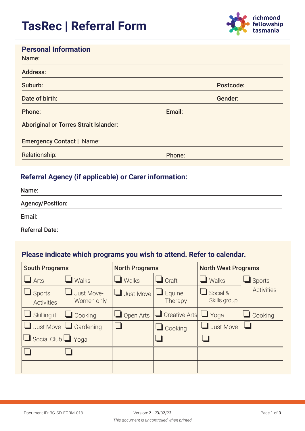

#### **Personal Information**

| Name:                                        |           |
|----------------------------------------------|-----------|
| <b>Address:</b>                              |           |
| Suburb:                                      | Postcode: |
| Date of birth:                               | Gender:   |
| Phone:                                       | Email:    |
| <b>Aboriginal or Torres Strait Islander:</b> |           |
| <b>Emergency Contact   Name:</b>             |           |
| Relationship:                                | Phone:    |

#### **Referral Agency (if applicable) or Carer information:**

| Name:                   |  |  |
|-------------------------|--|--|
| <b>Agency/Position:</b> |  |  |
| Email:                  |  |  |
| <b>Referral Date:</b>   |  |  |

#### **Please indicate which programs you wish to attend. Refer to calendar.**

| <b>South Programs</b>              |                            | <b>North Programs</b> |                            | <b>North West Programs</b> |                   |
|------------------------------------|----------------------------|-----------------------|----------------------------|----------------------------|-------------------|
| $\Box$ Arts                        | Walks                      | $\blacksquare$ Walks  | $\Box$ Craft               | $\blacksquare$ Walks       | $\Box$ Sports     |
| $\Box$ Sports<br><b>Activities</b> | Just Move-<br>Women only   | Just Move             | Equine<br>ш<br>Therapy     | Social &<br>Skills group   | <b>Activities</b> |
| Skilling it                        | $\Box$ Cooking             | $\Box$ Open Arts      | <b>Creative Arts</b> Lyoga |                            | $\Box$ Cooking    |
|                                    | Just Move $\Box$ Gardening |                       | $\Box$ Cooking             | $\Box$ Just Move           |                   |
| Social Club   Yoga                 |                            |                       |                            |                            |                   |
|                                    |                            |                       |                            |                            |                   |
|                                    |                            |                       |                            |                            |                   |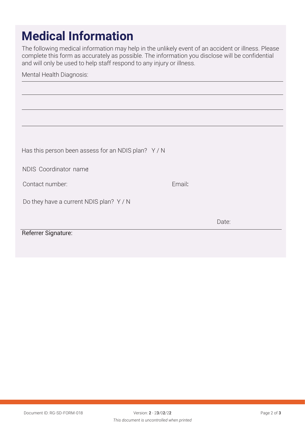# **Medical Information**

The following medical information may help in the unlikely event of an accident or illness. Please complete this form as accurately as possible. The information you disclose will be confidential and will only be used to help staff respond to any injury or illness.

#### Mental Health Diagnosis:

| Has this person been assess for an NDIS plan? Y/N |        |       |
|---------------------------------------------------|--------|-------|
| NDIS Coordinator name                             |        |       |
| Contact number:                                   | Email: |       |
| Do they have a current NDIS plan? Y / N           |        |       |
|                                                   |        | Date: |
| Referrer Signature:                               |        |       |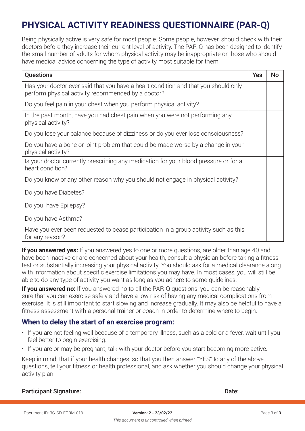## **PHYSICAL ACTIVITY READINESS QUESTIONNAIRE (PAR-Q)**

Being physically active is very safe for most people. Some people, however, should check with their doctors before they increase their current level of activity. The PAR-Q has been designed to identify the small number of adults for whom physical activity may be inappropriate or those who should have medical advice concerning the type of activity most suitable for them.

| <b>Questions</b>                                                                                                                         | <b>Yes</b> | <b>No</b> |
|------------------------------------------------------------------------------------------------------------------------------------------|------------|-----------|
| Has your doctor ever said that you have a heart condition and that you should only<br>perform physical activity recommended by a doctor? |            |           |
| Do you feel pain in your chest when you perform physical activity?                                                                       |            |           |
| In the past month, have you had chest pain when you were not performing any<br>physical activity?                                        |            |           |
| Do you lose your balance because of dizziness or do you ever lose consciousness?                                                         |            |           |
| Do you have a bone or joint problem that could be made worse by a change in your<br>physical activity?                                   |            |           |
| Is your doctor currently prescribing any medication for your blood pressure or for a<br>heart condition?                                 |            |           |
| Do you know of any other reason why you should not engage in physical activity?                                                          |            |           |
| Do you have Diabetes?                                                                                                                    |            |           |
| Do you have Epilepsy?                                                                                                                    |            |           |
| Do you have Asthma?                                                                                                                      |            |           |
| Have you ever been requested to cease participation in a group activity such as this<br>for any reason?                                  |            |           |

**If you answered yes:** If you answered yes to one or more questions, are older than age 40 and have been inactive or are concerned about your health, consult a physician before taking a fitness test or substantially increasing your physical activity. You should ask for a medical clearance along with information about specific exercise limitations you may have. In most cases, you will still be able to do any type of activity you want as long as you adhere to some guidelines.

**If you answered no:** If you answered no to all the PAR-Q questions, you can be reasonably sure that you can exercise safely and have a low risk of having any medical complications from exercise. It is still important to start slowing and increase gradually. It may also be helpful to have a fitness assessment with a personal trainer or coach in order to determine where to begin.

#### **When to delay the start of an exercise program:**

- If you are not feeling well because of a temporary illness, such as a cold or a fever, wait until you feel better to begin exercising.
- If you are or may be pregnant, talk with your doctor before you start becoming more active.

Keep in mind, that if your health changes, so that you then answer "YES" to any of the above questions, tell your fitness or health professional, and ask whether you should change your physical activity plan.

#### **Participant Signature:**

Date: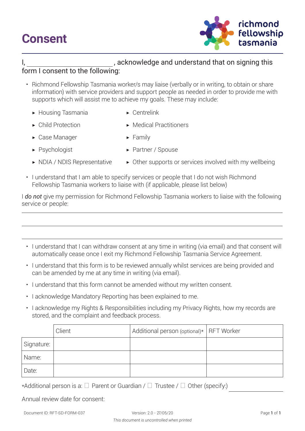## **Consent**



#### I, scknowledge and understand that on signing this

#### form I consent to the following:

- Richmond Fellowship Tasmania worker/s may liaise (verbally or in writing, to obtain or share information) with service providers and support people as needed in order to provide me with supports which will assist me to achieve my goals. These may include:
	- ▶ Housing Tasmania ▶ Centrelink
		-
	- ▶ Child Protection ▶ Medical Practitioners
	- $\triangleright$  Case Manager  $\triangleright$  Family
		-
- 
- ▶ Psychologist Access Access Access Access Access Access Access Access Access Access Access Access Access Access Access Access Access Access Access Access Access Access Access Access Access Access Access Access Access Acc
- 
- ▶ NDIA / NDIS Representative ▶ Other supports or services involved with my wellbeing
- I understand that I am able to specify services or people that I do not wish Richmond Fellowship Tasmania workers to liaise with (if applicable, please list below)

I *do not* give my permission for Richmond Fellowship Tasmania workers to liaise with the following service or people:

- I understand that I can withdraw consent at any time in writing (via email) and that consent will automatically cease once I exit my Richmond Fellowship Tasmania Service Agreement.
- I understand that this form is to be reviewed annually whilst services are being provided and can be amended by me at any time in writing (via email).
- I understand that this form cannot be amended without my written consent.
- I acknowledge Mandatory Reporting has been explained to me.
- I acknowledge my Rights & Responsibilities including my Privacy Rights, how my records are stored, and the complaint and feedback process.

|            | Client | Additional person (optional)*   RFT Worker |  |
|------------|--------|--------------------------------------------|--|
| Signature: |        |                                            |  |
| Name:      |        |                                            |  |
| Date:      |        |                                            |  |

\*Additional person is a: **☐** Parent or Guardian / **☐** Trustee / **☐** Other (specify:)

|  |  | Annual review date for consent: |
|--|--|---------------------------------|
|  |  |                                 |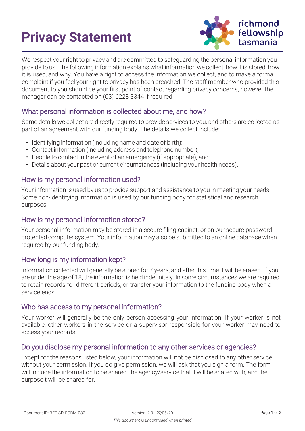# **Privacy Statement**



We respect your right to privacy and are committed to safeguarding the personal information you provide to us. The following information explains what information we collect, how it is stored, how it is used, and why. You have a right to access the information we collect, and to make a formal complaint if you feel your right to privacy has been breached. The staff member who provided this document to you should be your first point of contact regarding privacy concerns, however the manager can be contacted on (03) 6228 3344 if required.

#### What personal information is collected about me, and how?

Some details we collect are directly required to provide services to you, and others are collected as part of an agreement with our funding body. The details we collect include:

- Identifying information (including name and date of birth);
- Contact information (including address and telephone number);
- People to contact in the event of an emergency (if appropriate), and;
- Details about your past or current circumstances (including your health needs).

#### How is my personal information used?

Your information is used by us to provide support and assistance to you in meeting your needs. Some non-identifying information is used by our funding body for statistical and research purposes.

#### How is my personal information stored?

Your personal information may be stored in a secure filing cabinet, or on our secure password protected computer system. Your information may also be submitted to an online database when required by our funding body.

#### How long is my information kept?

Information collected will generally be stored for 7 years, and after this time it will be erased. If you are under the age of 18, the information is held indefinitely. In some circumstances we are required to retain records for different periods, or transfer your information to the funding body when a service ends.

#### Who has access to my personal information?

Your worker will generally be the only person accessing your information. If your worker is not available, other workers in the service or a supervisor responsible for your worker may need to access your records.

#### Do you disclose my personal information to any other services or agencies?

Except for the reasons listed below, your information will not be disclosed to any other service without your permission. If you do give permission, we will ask that you sign a form. The form will include the information to be shared, the agency/service that it will be shared with, and the purposeit will be shared for.